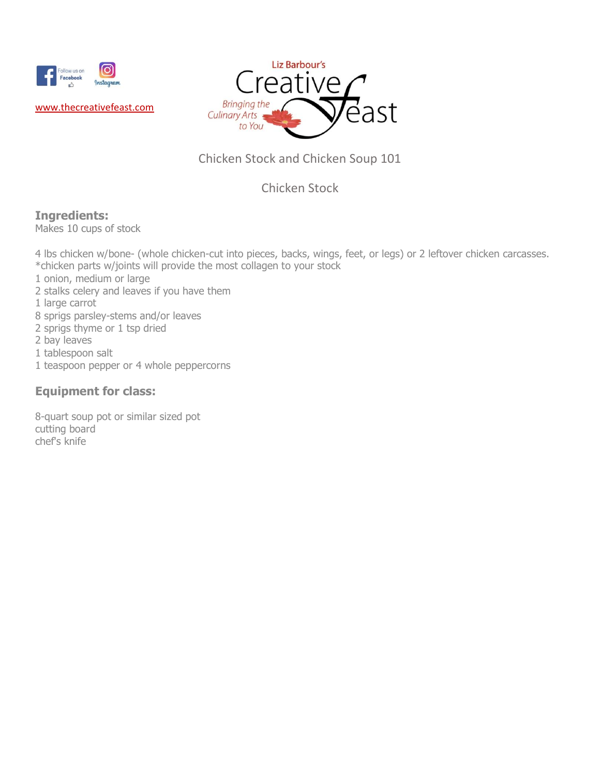



## Chicken Stock and Chicken Soup 101

## Chicken Stock

## **Ingredients:**

Makes 10 cups of stock

4 lbs chicken w/bone- (whole chicken-cut into pieces, backs, wings, feet, or legs) or 2 leftover chicken carcasses. \*chicken parts w/joints will provide the most collagen to your stock

- 1 onion, medium or large
- 2 stalks celery and leaves if you have them
- 1 large carrot
- 8 sprigs parsley-stems and/or leaves
- 2 sprigs thyme or 1 tsp dried
- 2 bay leaves
- 1 tablespoon salt
- 1 teaspoon pepper or 4 whole peppercorns

## **Equipment for class:**

8-quart soup pot or similar sized pot cutting board chef's knife